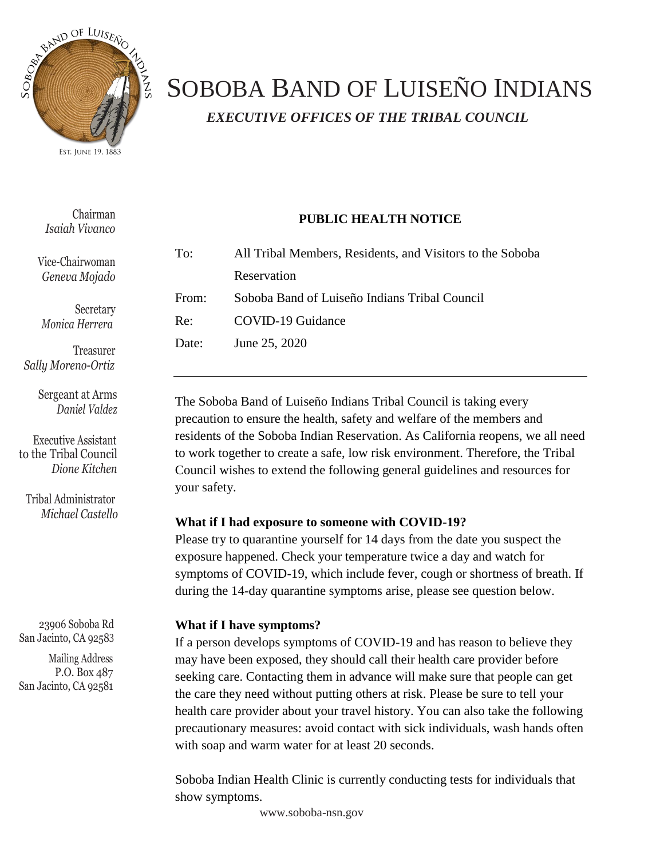

## SOBOBA BAND OF LUISEÑO INDIANS *EXECUTIVE OFFICES OF THE TRIBAL COUNCIL*

Chairman *Isaiah Vivanco*

Vice-Chairwoman *Geneva Mojado*

Secretary *Monica Herrera*

Treasurer  *Sally Moreno-Ortiz*

> Sergeant at Arms  *Daniel Valdez*

 Executive Assistant to the Tribal Council  *Dione Kitchen*

Tribal Administrator *Michael Castello*

23906 Soboba Rd San Jacinto, CA 92583

 Mailing Address P.O. Box 487 San Jacinto, CA 92581

| To: | All Tribal Members, Residents, and Visitors to the Soboba |
|-----|-----------------------------------------------------------|

**PUBLIC HEALTH NOTICE**

Reservation From: Soboba Band of Luiseño Indians Tribal Council Re: COVID-19 Guidance Date: June 25, 2020

The Soboba Band of Luiseño Indians Tribal Council is taking every precaution to ensure the health, safety and welfare of the members and residents of the Soboba Indian Reservation. As California reopens, we all need to work together to create a safe, low risk environment. Therefore, the Tribal Council wishes to extend the following general guidelines and resources for your safety.

## **What if I had exposure to someone with COVID-19?**

Please try to quarantine yourself for 14 days from the date you suspect the exposure happened. Check your temperature twice a day and watch for symptoms of COVID-19, which include fever, cough or shortness of breath. If during the 14-day quarantine symptoms arise, please see question below.

## **What if I have symptoms?**

If a person develops symptoms of COVID-19 and has reason to believe they may have been exposed, they should call their health care provider before seeking care. Contacting them in advance will make sure that people can get the care they need without putting others at risk. Please be sure to tell your health care provider about your travel history. You can also take the following precautionary measures: avoid contact with sick individuals, wash hands often with soap and warm water for at least 20 seconds.

Soboba Indian Health Clinic is currently conducting tests for individuals that show symptoms.

[www.soboba-nsn.gov](http://www.soboba-nsn.gov/)